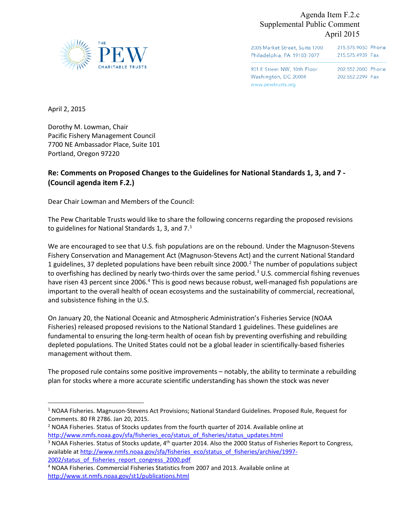

Agenda Item F.2.c Supplemental Public Comment April 2015

2005 Market Street, Suite 1700 215.575.9050 Phone Philadelphia, PA 19103-7077 215.575.4939 Fax

901 E Street NW, 10th Floor Washington, DC 20004 www.pewtrusts.org

202.552.2000 Phone 202.552.2299 Fax

April 2, 2015

 $\overline{a}$ 

Dorothy M. Lowman, Chair Pacific Fishery Management Council 7700 NE Ambassador Place, Suite 101 Portland, Oregon 97220

# **Re: Comments on Proposed Changes to the Guidelines for National Standards 1, 3, and 7 - (Council agenda item F.2.)**

Dear Chair Lowman and Members of the Council:

The Pew Charitable Trusts would like to share the following concerns regarding the proposed revisions to guidelines for National Standards [1](#page-0-0), 3, and  $7<sup>1</sup>$ 

We are encouraged to see that U.S. fish populations are on the rebound. Under the Magnuson-Stevens Fishery Conservation and Management Act (Magnuson-Stevens Act) and the current National Standard 1 guidelines, 37 depleted populations have been rebuilt since [2](#page-0-1)000.<sup>2</sup> The number of populations subject to overfishing has declined by nearly two-thirds over the same period.<sup>[3](#page-0-2)</sup> U.S. commercial fishing revenues have risen [4](#page-0-3)3 percent since 2006.<sup>4</sup> This is good news because robust, well-managed fish populations are important to the overall health of ocean ecosystems and the sustainability of commercial, recreational, and subsistence fishing in the U.S.

On January 20, the National Oceanic and Atmospheric Administration's Fisheries Service (NOAA Fisheries) released proposed revisions to the National Standard 1 guidelines. These guidelines are fundamental to ensuring the long-term health of ocean fish by preventing overfishing and rebuilding depleted populations. The United States could not be a global leader in scientifically-based fisheries management without them.

The proposed rule contains some positive improvements – notably, the ability to terminate a rebuilding plan for stocks where a more accurate scientific understanding has shown the stock was never

<span id="page-0-0"></span><sup>&</sup>lt;sup>1</sup> NOAA Fisheries. Magnuson-Stevens Act Provisions; National Standard Guidelines. Proposed Rule, Request for Comments. 80 FR 2786. Jan 20, 2015.<br><sup>2</sup> NOAA Fisheries. Status of Stocks updates from the fourth quarter of 2014. Available online at

<span id="page-0-1"></span>

<span id="page-0-2"></span>http://www.nmfs.noaa.gov/sfa/fisheries\_eco/status\_of\_fisheries/status\_updates.html<br><sup>3</sup> NOAA Fisheries. Status of Stocks update, 4<sup>th</sup> quarter 2014. Also the 2000 Status of Fisheries Report to Congress, available a[t http://www.nmfs.noaa.gov/sfa/fisheries\\_eco/status\\_of\\_fisheries/archive/1997-](http://www.nmfs.noaa.gov/sfa/fisheries_eco/status_of_fisheries/archive/1997-2002/status_of_fisheries_report_congress_2000.pdf) 2002/status\_of\_fisheries\_report\_congress\_2000.pdf<br><sup>4</sup> NOAA Fisheries. Commercial Fisheries Statistics from 2007 and 2013. Available online at

<span id="page-0-3"></span><http://www.st.nmfs.noaa.gov/st1/publications.html>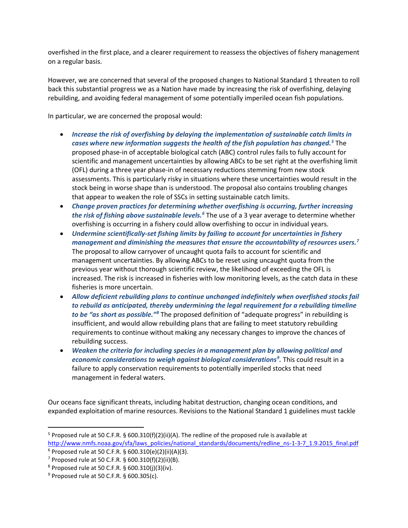overfished in the first place, and a clearer requirement to reassess the objectives of fishery management on a regular basis.

However, we are concerned that several of the proposed changes to National Standard 1 threaten to roll back this substantial progress we as a Nation have made by increasing the risk of overfishing, delaying rebuilding, and avoiding federal management of some potentially imperiled ocean fish populations.

In particular, we are concerned the proposal would:

- *Increase the risk of overfishing by delaying the implementation of sustainable catch limits in cases where new information suggests the health of the fish population has changed.[5](#page-1-0)* The proposed phase-in of acceptable biological catch (ABC) control rules fails to fully account for scientific and management uncertainties by allowing ABCs to be set right at the overfishing limit (OFL) during a three year phase-in of necessary reductions stemming from new stock assessments. This is particularly risky in situations where these uncertainties would result in the stock being in worse shape than is understood. The proposal also contains troubling changes that appear to weaken the role of SSCs in setting sustainable catch limits.
- *Change proven practices for determining whether overfishing is occurring, further increasing the risk of fishing above sustainable levels[.6](#page-1-1)* The use of a 3 year average to determine whether overfishing is occurring in a fishery could allow overfishing to occur in individual years.
- *Undermine scientifically-set fishing limits by failing to account for uncertainties in fishery management and diminishing the measures that ensure the accountability of resources users.[7](#page-1-2)* The proposal to allow carryover of uncaught quota fails to account for scientific and management uncertainties. By allowing ABCs to be reset using uncaught quota from the previous year without thorough scientific review, the likelihood of exceeding the OFL is increased. The risk is increased in fisheries with low monitoring levels, as the catch data in these fisheries is more uncertain.
- *Allow deficient rebuilding plans to continue unchanged indefinitely when overfished stocks fail to rebuild as anticipated, thereby undermining the legal requirement for a rebuilding timeline to be "as short as possible."[8](#page-1-3)* The proposed definition of "adequate progress" in rebuilding is insufficient, and would allow rebuilding plans that are failing to meet statutory rebuilding requirements to continue without making any necessary changes to improve the chances of rebuilding success.
- *Weaken the criteria for including species in a management plan by allowing political and economic considerations to weigh against biological considerations[9](#page-1-4) .* This could result in a failure to apply conservation requirements to potentially imperiled stocks that need management in federal waters.

Our oceans face significant threats, including habitat destruction, changing ocean conditions, and expanded exploitation of marine resources. Revisions to the National Standard 1 guidelines must tackle

 $\overline{a}$ 

<span id="page-1-0"></span><sup>&</sup>lt;sup>5</sup> Proposed rule at 50 C.F.R. § 600.310(f)(2)(ii)(A). The redline of the proposed rule is available at [http://www.nmfs.noaa.gov/sfa/laws\\_policies/national\\_standards/documents/redline\\_ns-1-3-7\\_1.9.2015\\_final.pdf](http://www.nmfs.noaa.gov/sfa/laws_policies/national_standards/documents/redline_ns-1-3-7_1.9.2015_final.pdf)

<span id="page-1-1"></span> $6$  Proposed rule at 50 C.F.R. § 600.310(e)(2)(ii)(A)(3).

<span id="page-1-2"></span> $7$  Proposed rule at 50 C.F.R. § 600.310(f)(2)(ii)(B).

<span id="page-1-3"></span> $8$  Proposed rule at 50 C.F.R. § 600.310(j)(3)(iv).

<span id="page-1-4"></span> $9$  Proposed rule at 50 C.F.R. § 600.305(c).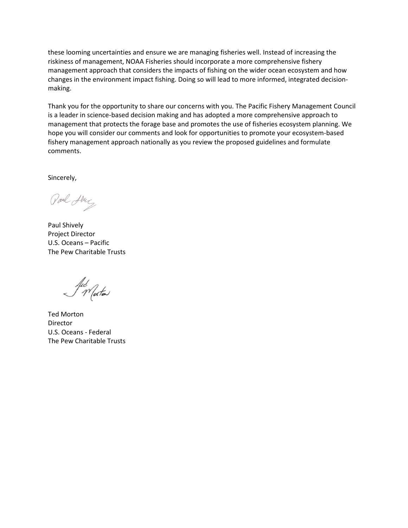these looming uncertainties and ensure we are managing fisheries well. Instead of increasing the riskiness of management, NOAA Fisheries should incorporate a more comprehensive fishery management approach that considers the impacts of fishing on the wider ocean ecosystem and how changes in the environment impact fishing. Doing so will lead to more informed, integrated decisionmaking.

Thank you for the opportunity to share our concerns with you. The Pacific Fishery Management Council is a leader in science-based decision making and has adopted a more comprehensive approach to management that protects the forage base and promotes the use of fisheries ecosystem planning. We hope you will consider our comments and look for opportunities to promote your ecosystem-based fishery management approach nationally as you review the proposed guidelines and formulate comments.

Sincerely,

Paul Alug

Paul Shively Project Director U.S. Oceans – Pacific The Pew Charitable Trusts

Jul Motor

Ted Morton Director U.S. Oceans - Federal The Pew Charitable Trusts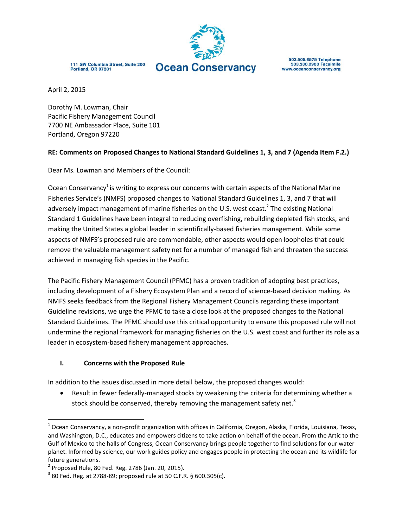

111 SW Columbia Street, Suite 200 Portland, OR 97201

503.505.6575 Telephone<br>503.230.0903 Facsimile www.oceanconservancy.org

April 2, 2015

Dorothy M. Lowman, Chair Pacific Fishery Management Council 7700 NE Ambassador Place, Suite 101 Portland, Oregon 97220

### **RE: Comments on Proposed Changes to National Standard Guidelines 1, 3, and 7 (Agenda Item F.2.)**

Dear Ms. Lowman and Members of the Council:

Ocean Conservancy<sup>1</sup> is writing to express our concerns with certain aspects of the National Marine Fisheries Service's (NMFS) proposed changes to National Standard Guidelines 1, 3, and 7 that will adversely impact management of marine fisheries on the U.S. west coast.<sup>2</sup> The existing National Standard 1 Guidelines have been integral to reducing overfishing, rebuilding depleted fish stocks, and making the United States a global leader in scientifically-based fisheries management. While some aspects of NMFS's proposed rule are commendable, other aspects would open loopholes that could remove the valuable management safety net for a number of managed fish and threaten the success achieved in managing fish species in the Pacific.

The Pacific Fishery Management Council (PFMC) has a proven tradition of adopting best practices, including development of a Fishery Ecosystem Plan and a record of science-based decision making. As NMFS seeks feedback from the Regional Fishery Management Councils regarding these important Guideline revisions, we urge the PFMC to take a close look at the proposed changes to the National Standard Guidelines. The PFMC should use this critical opportunity to ensure this proposed rule will not undermine the regional framework for managing fisheries on the U.S. west coast and further its role as a leader in ecosystem-based fishery management approaches.

#### **I. Concerns with the Proposed Rule**

In addition to the issues discussed in more detail below, the proposed changes would:

 Result in fewer federally-managed stocks by weakening the criteria for determining whether a stock should be conserved, thereby removing the management safety net.<sup>3</sup>

 $\overline{\phantom{a}}$ 

 $^1$  Ocean Conservancy, a non-profit organization with offices in California, Oregon, Alaska, Florida, Louisiana, Texas, and Washington, D.C., educates and empowers citizens to take action on behalf of the ocean. From the Artic to the Gulf of Mexico to the halls of Congress, Ocean Conservancy brings people together to find solutions for our water planet. Informed by science, our work guides policy and engages people in protecting the ocean and its wildlife for future generations.

 $2^{2}$  Proposed Rule, 80 Fed. Reg. 2786 (Jan. 20, 2015).

 $^3$  80 Fed. Reg. at 2788-89; proposed rule at 50 C.F.R. § 600.305(c).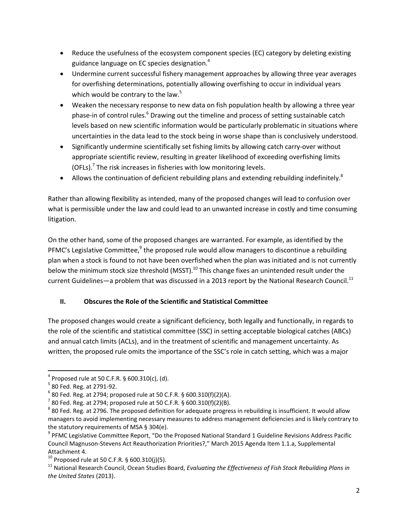- Reduce the usefulness of the ecosystem component species (EC) category by deleting existing guidance language on EC species designation.<sup>4</sup>
- Undermine current successful fishery management approaches by allowing three year averages for overfishing determinations, potentially allowing overfishing to occur in individual years which would be contrary to the law.<sup>5</sup>
- Weaken the necessary response to new data on fish population health by allowing a three year phase-in of control rules.<sup>6</sup> Drawing out the timeline and process of setting sustainable catch levels based on new scientific information would be particularly problematic in situations where uncertainties in the data lead to the stock being in worse shape than is conclusively understood.
- Significantly undermine scientifically set fishing limits by allowing catch carry-over without appropriate scientific review, resulting in greater likelihood of exceeding overfishing limits (OFLs).<sup>7</sup> The risk increases in fisheries with low monitoring levels.
- Allows the continuation of deficient rebuilding plans and extending rebuilding indefinitely.<sup>8</sup>

Rather than allowing flexibility as intended, many of the proposed changes will lead to confusion over what is permissible under the law and could lead to an unwanted increase in costly and time consuming litigation.

On the other hand, some of the proposed changes are warranted. For example, as identified by the PFMC's Legislative Committee,<sup>9</sup> the proposed rule would allow managers to discontinue a rebuilding plan when a stock is found to not have been overfished when the plan was initiated and is not currently below the minimum stock size threshold (MSST).<sup>10</sup> This change fixes an unintended result under the current Guidelines—a problem that was discussed in a 2013 report by the National Research Council.<sup>11</sup>

## **II. Obscures the Role of the Scientific and Statistical Committee**

The proposed changes would create a significant deficiency, both legally and functionally, in regards to the role of the scientific and statistical committee (SSC) in setting acceptable biological catches (ABCs) and annual catch limits (ACLs), and in the treatment of scientific and management uncertainty. As written, the proposed rule omits the importance of the SSC's role in catch setting, which was a major

 $\overline{a}$ 

<sup>&</sup>lt;sup>4</sup> Proposed rule at 50 C.F.R. § 600.310(c), (d).

<sup>&</sup>lt;sup>5</sup> 80 Fed. Reg. at 2791-92.

 $6$  80 Fed. Reg. at 2794; proposed rule at 50 C.F.R. § 600.310(f)(2)(A).

 $7$  80 Fed. Reg. at 2794; proposed rule at 50 C.F.R. § 600.310(f)(2)(B).

 $^8$  80 Fed. Reg. at 2796. The proposed definition for adequate progress in rebuilding is insufficient. It would allow managers to avoid implementing necessary measures to address management deficiencies and is likely contrary to the statutory requirements of MSA § 304(e).

<sup>&</sup>lt;sup>9</sup> PFMC Legislative Committee Report, "Do the Proposed National Standard 1 Guideline Revisions Address Pacific Council Magnuson-Stevens Act Reauthorization Priorities?," March 2015 Agenda Item 1.1.a, Supplemental Attachment 4.

<sup>&</sup>lt;sup>10</sup> Proposed rule at 50 C.F.R. § 600.310(j)(5).

<sup>11</sup> National Research Council, Ocean Studies Board, *Evaluating the Effectiveness of Fish Stock Rebuilding Plans in the United States* (2013).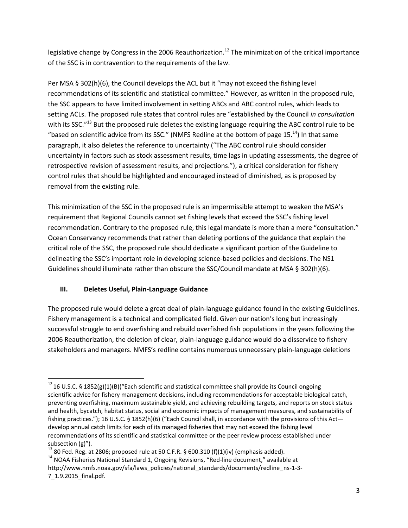legislative change by Congress in the 2006 Reauthorization.<sup>12</sup> The minimization of the critical importance of the SSC is in contravention to the requirements of the law.

Per MSA § 302(h)(6), the Council develops the ACL but it "may not exceed the fishing level recommendations of its scientific and statistical committee." However, as written in the proposed rule, the SSC appears to have limited involvement in setting ABCs and ABC control rules, which leads to setting ACLs. The proposed rule states that control rules are "established by the Council *in consultation*  with its SSC."<sup>13</sup> But the proposed rule deletes the existing language requiring the ABC control rule to be "based on scientific advice from its SSC." (NMFS Redline at the bottom of page 15. $^{14}$ ) In that same paragraph, it also deletes the reference to uncertainty ("The ABC control rule should consider uncertainty in factors such as stock assessment results, time lags in updating assessments, the degree of retrospective revision of assessment results, and projections."), a critical consideration for fishery control rules that should be highlighted and encouraged instead of diminished, as is proposed by removal from the existing rule.

This minimization of the SSC in the proposed rule is an impermissible attempt to weaken the MSA's requirement that Regional Councils cannot set fishing levels that exceed the SSC's fishing level recommendation. Contrary to the proposed rule, this legal mandate is more than a mere "consultation." Ocean Conservancy recommends that rather than deleting portions of the guidance that explain the critical role of the SSC, the proposed rule should dedicate a significant portion of the Guideline to delineating the SSC's important role in developing science-based policies and decisions. The NS1 Guidelines should illuminate rather than obscure the SSC/Council mandate at MSA § 302(h)(6).

## **III. Deletes Useful, Plain-Language Guidance**

 $\overline{\phantom{a}}$ 

The proposed rule would delete a great deal of plain-language guidance found in the existing Guidelines. Fishery management is a technical and complicated field. Given our nation's long but increasingly successful struggle to end overfishing and rebuild overfished fish populations in the years following the 2006 Reauthorization, the deletion of clear, plain-language guidance would do a disservice to fishery stakeholders and managers. NMFS's redline contains numerous unnecessary plain-language deletions

<sup>&</sup>lt;sup>12</sup> 16 U.S.C. § 1852(g)(1)(B)("Each scientific and statistical committee shall provide its Council ongoing scientific advice for fishery management decisions, including recommendations for acceptable biological catch, preventing overfishing, maximum sustainable yield, and achieving rebuilding targets, and reports on stock status and health, bycatch, habitat status, social and economic impacts of management measures, and sustainability of fishing practices."); 16 U.S.C. § 1852(h)(6) ("Each Council shall, in accordance with the provisions of this Act develop annual catch limits for each of its managed fisheries that may not exceed the fishing level recommendations of its scientific and statistical committee or the peer review process established under subsection (g)").

 $13$  80 Fed. Reg. at 2806; proposed rule at 50 C.F.R. § 600.310 (f)(1)(iv) (emphasis added).

<sup>&</sup>lt;sup>14</sup> NOAA Fisheries National Standard 1, Ongoing Revisions, "Red-line document," available at http://www.nmfs.noaa.gov/sfa/laws\_policies/national\_standards/documents/redline\_ns-1-3-7\_1.9.2015\_final.pdf.